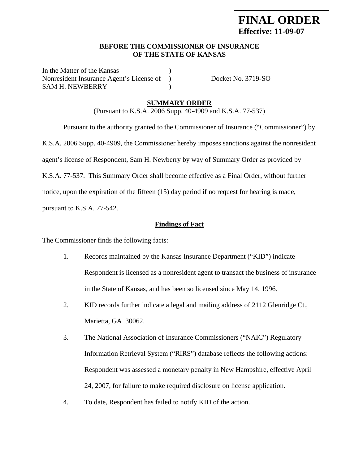### **BEFORE THE COMMISSIONER OF INSURANCE OF THE STATE OF KANSAS**

In the Matter of the Kansas Nonresident Insurance Agent's License of ) Docket No. 3719-SO SAM H. NEWBERRY (1998)

# **SUMMARY ORDER**

(Pursuant to K.S.A. 2006 Supp. 40-4909 and K.S.A. 77-537)

 Pursuant to the authority granted to the Commissioner of Insurance ("Commissioner") by K.S.A. 2006 Supp. 40-4909, the Commissioner hereby imposes sanctions against the nonresident agent's license of Respondent, Sam H. Newberry by way of Summary Order as provided by K.S.A. 77-537. This Summary Order shall become effective as a Final Order, without further notice, upon the expiration of the fifteen (15) day period if no request for hearing is made,

pursuant to K.S.A. 77-542.

# **Findings of Fact**

The Commissioner finds the following facts:

- 1. Records maintained by the Kansas Insurance Department ("KID") indicate Respondent is licensed as a nonresident agent to transact the business of insurance in the State of Kansas, and has been so licensed since May 14, 1996.
- 2. KID records further indicate a legal and mailing address of 2112 Glenridge Ct., Marietta, GA 30062.
- 3. The National Association of Insurance Commissioners ("NAIC") Regulatory Information Retrieval System ("RIRS") database reflects the following actions: Respondent was assessed a monetary penalty in New Hampshire, effective April 24, 2007, for failure to make required disclosure on license application.
- 4. To date, Respondent has failed to notify KID of the action.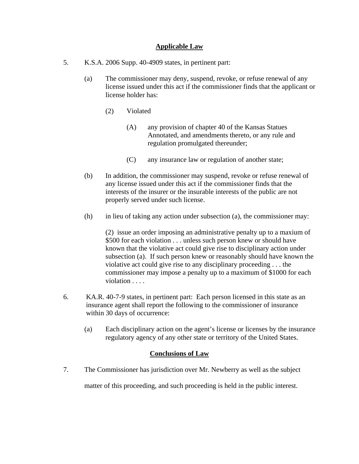### **Applicable Law**

- 5. K.S.A. 2006 Supp. 40-4909 states, in pertinent part:
	- (a) The commissioner may deny, suspend, revoke, or refuse renewal of any license issued under this act if the commissioner finds that the applicant or license holder has:
		- (2) Violated
			- (A) any provision of chapter 40 of the Kansas Statues Annotated, and amendments thereto, or any rule and regulation promulgated thereunder;
			- (C) any insurance law or regulation of another state;
	- (b) In addition, the commissioner may suspend, revoke or refuse renewal of any license issued under this act if the commissioner finds that the interests of the insurer or the insurable interests of the public are not properly served under such license.
	- (h) in lieu of taking any action under subsection (a), the commissioner may:

(2) issue an order imposing an administrative penalty up to a maxium of \$500 for each violation . . . unless such person knew or should have known that the violative act could give rise to disciplinary action under subsection (a). If such person knew or reasonably should have known the violative act could give rise to any disciplinary proceeding . . . the commissioner may impose a penalty up to a maximum of \$1000 for each violation . . . .

- 6. KA.R. 40-7-9 states, in pertinent part: Each person licensed in this state as an insurance agent shall report the following to the commissioner of insurance within 30 days of occurrence:
	- (a) Each disciplinary action on the agent's license or licenses by the insurance regulatory agency of any other state or territory of the United States.

### **Conclusions of Law**

7. The Commissioner has jurisdiction over Mr. Newberry as well as the subject

matter of this proceeding, and such proceeding is held in the public interest.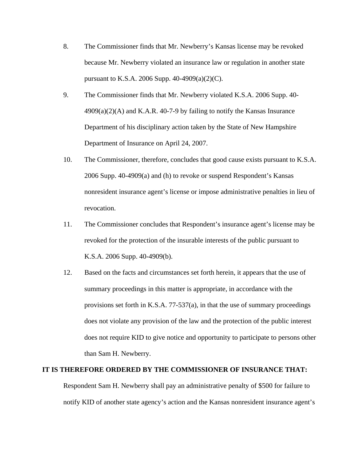- 8. The Commissioner finds that Mr. Newberry's Kansas license may be revoked because Mr. Newberry violated an insurance law or regulation in another state pursuant to K.S.A. 2006 Supp. 40-4909(a)(2)(C).
- 9. The Commissioner finds that Mr. Newberry violated K.S.A. 2006 Supp. 40-  $4909(a)(2)(A)$  and K.A.R.  $40-7-9$  by failing to notify the Kansas Insurance Department of his disciplinary action taken by the State of New Hampshire Department of Insurance on April 24, 2007.
- 10. The Commissioner, therefore, concludes that good cause exists pursuant to K.S.A. 2006 Supp. 40-4909(a) and (h) to revoke or suspend Respondent's Kansas nonresident insurance agent's license or impose administrative penalties in lieu of revocation.
- 11. The Commissioner concludes that Respondent's insurance agent's license may be revoked for the protection of the insurable interests of the public pursuant to K.S.A. 2006 Supp. 40-4909(b).
- 12. Based on the facts and circumstances set forth herein, it appears that the use of summary proceedings in this matter is appropriate, in accordance with the provisions set forth in K.S.A. 77-537(a), in that the use of summary proceedings does not violate any provision of the law and the protection of the public interest does not require KID to give notice and opportunity to participate to persons other than Sam H. Newberry.

#### **IT IS THEREFORE ORDERED BY THE COMMISSIONER OF INSURANCE THAT:**

Respondent Sam H. Newberry shall pay an administrative penalty of \$500 for failure to notify KID of another state agency's action and the Kansas nonresident insurance agent's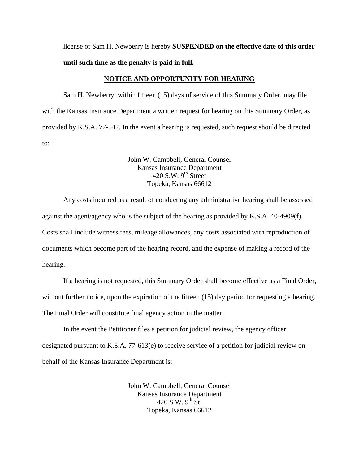license of Sam H. Newberry is hereby **SUSPENDED on the effective date of this order until such time as the penalty is paid in full.** 

#### **NOTICE AND OPPORTUNITY FOR HEARING**

Sam H. Newberry, within fifteen (15) days of service of this Summary Order, may file with the Kansas Insurance Department a written request for hearing on this Summary Order, as provided by K.S.A. 77-542. In the event a hearing is requested, such request should be directed to:

> John W. Campbell, General Counsel Kansas Insurance Department  $420$  S.W. 9<sup>th</sup> Street Topeka, Kansas 66612

Any costs incurred as a result of conducting any administrative hearing shall be assessed against the agent/agency who is the subject of the hearing as provided by K.S.A. 40-4909(f). Costs shall include witness fees, mileage allowances, any costs associated with reproduction of documents which become part of the hearing record, and the expense of making a record of the hearing.

If a hearing is not requested, this Summary Order shall become effective as a Final Order, without further notice, upon the expiration of the fifteen (15) day period for requesting a hearing. The Final Order will constitute final agency action in the matter.

In the event the Petitioner files a petition for judicial review, the agency officer designated pursuant to K.S.A. 77-613(e) to receive service of a petition for judicial review on behalf of the Kansas Insurance Department is:

> John W. Campbell, General Counsel Kansas Insurance Department 420 S.W.  $9^{th}$  St. Topeka, Kansas 66612